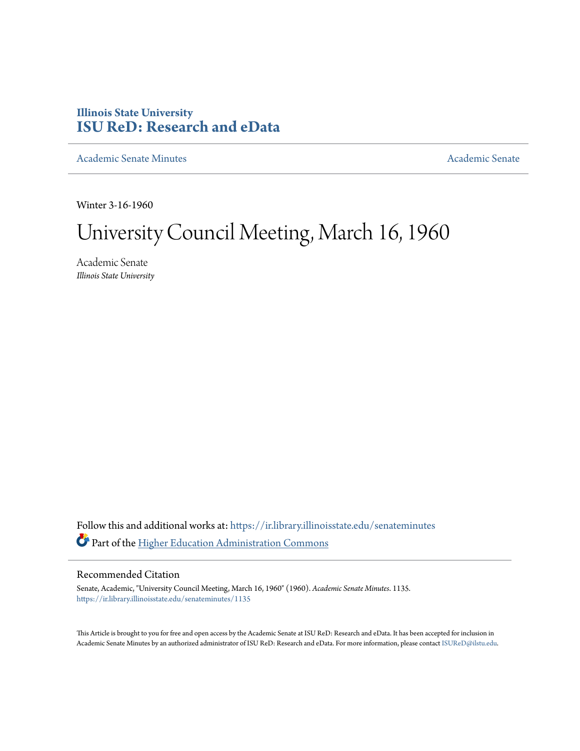# **Illinois State University [ISU ReD: Research and eData](https://ir.library.illinoisstate.edu?utm_source=ir.library.illinoisstate.edu%2Fsenateminutes%2F1135&utm_medium=PDF&utm_campaign=PDFCoverPages)**

[Academic Senate Minutes](https://ir.library.illinoisstate.edu/senateminutes?utm_source=ir.library.illinoisstate.edu%2Fsenateminutes%2F1135&utm_medium=PDF&utm_campaign=PDFCoverPages) [Academic Senate](https://ir.library.illinoisstate.edu/senate?utm_source=ir.library.illinoisstate.edu%2Fsenateminutes%2F1135&utm_medium=PDF&utm_campaign=PDFCoverPages) Academic Senate

Winter 3-16-1960

# University Council Meeting, March 16, 1960

Academic Senate *Illinois State University*

Follow this and additional works at: [https://ir.library.illinoisstate.edu/senateminutes](https://ir.library.illinoisstate.edu/senateminutes?utm_source=ir.library.illinoisstate.edu%2Fsenateminutes%2F1135&utm_medium=PDF&utm_campaign=PDFCoverPages) Part of the [Higher Education Administration Commons](http://network.bepress.com/hgg/discipline/791?utm_source=ir.library.illinoisstate.edu%2Fsenateminutes%2F1135&utm_medium=PDF&utm_campaign=PDFCoverPages)

## Recommended Citation

Senate, Academic, "University Council Meeting, March 16, 1960" (1960). *Academic Senate Minutes*. 1135. [https://ir.library.illinoisstate.edu/senateminutes/1135](https://ir.library.illinoisstate.edu/senateminutes/1135?utm_source=ir.library.illinoisstate.edu%2Fsenateminutes%2F1135&utm_medium=PDF&utm_campaign=PDFCoverPages)

This Article is brought to you for free and open access by the Academic Senate at ISU ReD: Research and eData. It has been accepted for inclusion in Academic Senate Minutes by an authorized administrator of ISU ReD: Research and eData. For more information, please contact [ISUReD@ilstu.edu.](mailto:ISUReD@ilstu.edu)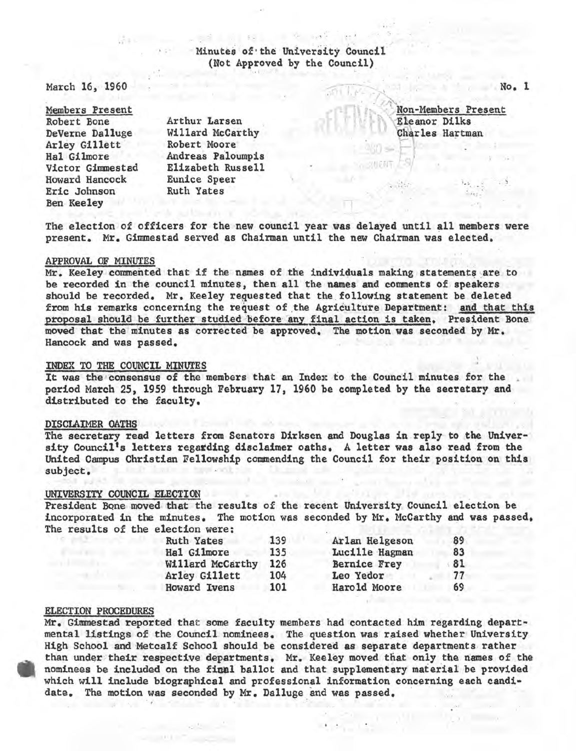# Minutes of the University Council (Not Approved by the Council)

March 16, 1960

Members Present Robert Bone DeVerne Dalluge Arley Gillett Hal Gilmore Victor Gimnestad Howard Hancock Eric Johnson Ben Keeley

Arthur Larsen Willard McCarthy<br>Robert Moore Andreas Paloumpis Elizabeth Russell Eunice Speer Ruth Yates

Non-Members Present<br>Eleanor Dilks Charles Hartman

> •.' ', " <sup>~</sup> ' . *i,:.*

The election of officers for the new council year was delayed until all members were present. Mr. Gimmestad served as Chairman until the new Chairman was elected.

r

### APPROVAL OF MINUTES

Mr. Keeley commented that if the names of the individuals making statements are to be recorded in the council minutes, then all the names and comnents of speakers should be recorded. Mr. Keeley requested that the following statement be deleted from his remarks concerning the request of the Agriculture Department: and that this proposal should be further studied before any final action is taken. President Bone moved that the minutes as corrected be approved. The motion was seconded by Mr. Hancock and was passed.

INDEX TO THE COUNCIL MINUTES<br>It was the consensus of the members that an Index to the Council minutes for the period March 25, 1959 through February 17, 1960 be completed by the secretary and distributed to the faculty.

#### DISCLAIMER OATHS

The secretary read letters from Senators Dirksen and Douglas in.reply to the University Council's letters regarding disclaimer oaths. A letter was also read from the United Campus Christian Fellowship commending the Council for their position on this subject.

#### UNIVERSITY COUNCIL ELECTION

President Bone moved that the results of the recent University Council election be incorporated in the minutes. The motion was seconded by Mr. McCarthy and was passed. The results of the election were:

| <b>Ruth Yates</b> | 139 | Arlan Helgeson      | 89 |
|-------------------|-----|---------------------|----|
| Hal Gilmore       | 135 | Lucille Hagman      | 83 |
| Willard McCarthy  | 126 | <b>Bernice Frey</b> | 81 |
| Arley Gillett     | 104 | Leo Yedor           | 77 |
| Howard Ivens      | 101 | Harold Moore        | 69 |

#### ELECTION PROCEDURES

Mr. Gimmestad reported that some faculty members had contacted him regarding departmental listings of the Council nominees. The question was raised whether University High School and Metcalf School should be considered as separate departments rather than under their respective departments. Mr. Keeley moved that only the names of the nominees be included on the final ballot and that supplementary material be provided which will include biographical and professional information concerning each candi· date. The motion was seconded by Mr. Dalluge and was passed.

**No. 1**